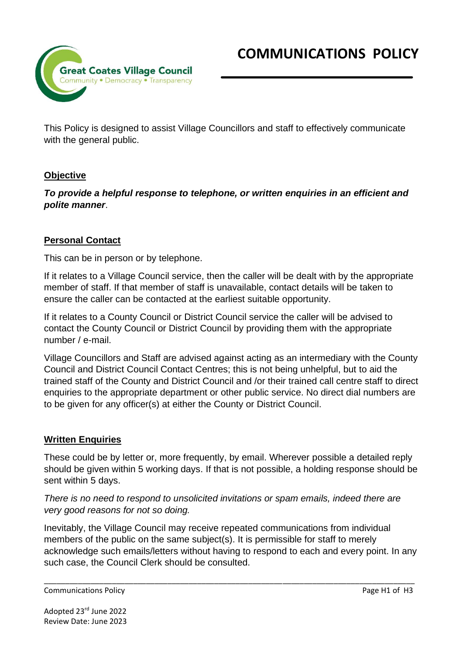

This Policy is designed to assist Village Councillors and staff to effectively communicate with the general public.

# **Objective**

*To provide a helpful response to telephone, or written enquiries in an efficient and polite manner*.

### **Personal Contact**

This can be in person or by telephone.

If it relates to a Village Council service, then the caller will be dealt with by the appropriate member of staff. If that member of staff is unavailable, contact details will be taken to ensure the caller can be contacted at the earliest suitable opportunity.

If it relates to a County Council or District Council service the caller will be advised to contact the County Council or District Council by providing them with the appropriate number / e-mail.

Village Councillors and Staff are advised against acting as an intermediary with the County Council and District Council Contact Centres; this is not being unhelpful, but to aid the trained staff of the County and District Council and /or their trained call centre staff to direct enquiries to the appropriate department or other public service. No direct dial numbers are to be given for any officer(s) at either the County or District Council.

#### **Written Enquiries**

These could be by letter or, more frequently, by email. Wherever possible a detailed reply should be given within 5 working days. If that is not possible, a holding response should be sent within 5 days.

*There is no need to respond to unsolicited invitations or spam emails, indeed there are very good reasons for not so doing.*

Inevitably, the Village Council may receive repeated communications from individual members of the public on the same subject(s). It is permissible for staff to merely acknowledge such emails/letters without having to respond to each and every point. In any such case, the Council Clerk should be consulted.

\_\_\_\_\_\_\_\_\_\_\_\_\_\_\_\_\_\_\_\_\_\_\_\_\_\_\_\_\_\_\_\_\_\_\_\_\_\_\_\_\_\_\_\_\_\_\_\_\_\_\_\_\_\_\_\_\_\_\_\_\_\_\_\_\_\_\_\_\_\_\_\_\_\_\_\_\_\_\_\_\_\_\_\_\_\_\_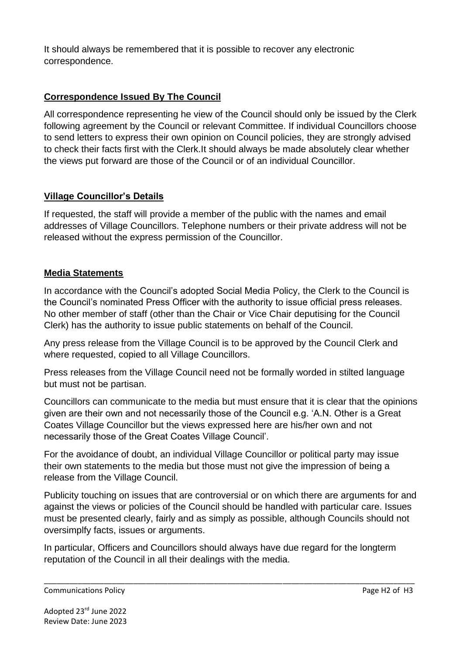It should always be remembered that it is possible to recover any electronic correspondence.

## **Correspondence Issued By The Council**

All correspondence representing he view of the Council should only be issued by the Clerk following agreement by the Council or relevant Committee. If individual Councillors choose to send letters to express their own opinion on Council policies, they are strongly advised to check their facts first with the Clerk.It should always be made absolutely clear whether the views put forward are those of the Council or of an individual Councillor.

#### **Village Councillor's Details**

If requested, the staff will provide a member of the public with the names and email addresses of Village Councillors. Telephone numbers or their private address will not be released without the express permission of the Councillor.

#### **Media Statements**

In accordance with the Council's adopted Social Media Policy, the Clerk to the Council is the Council's nominated Press Officer with the authority to issue official press releases. No other member of staff (other than the Chair or Vice Chair deputising for the Council Clerk) has the authority to issue public statements on behalf of the Council.

Any press release from the Village Council is to be approved by the Council Clerk and where requested, copied to all Village Councillors.

Press releases from the Village Council need not be formally worded in stilted language but must not be partisan.

Councillors can communicate to the media but must ensure that it is clear that the opinions given are their own and not necessarily those of the Council e.g. 'A.N. Other is a Great Coates Village Councillor but the views expressed here are his/her own and not necessarily those of the Great Coates Village Council'.

For the avoidance of doubt, an individual Village Councillor or political party may issue their own statements to the media but those must not give the impression of being a release from the Village Council.

Publicity touching on issues that are controversial or on which there are arguments for and against the views or policies of the Council should be handled with particular care. Issues must be presented clearly, fairly and as simply as possible, although Councils should not oversimplfy facts, issues or arguments.

In particular, Officers and Councillors should always have due regard for the longterm reputation of the Council in all their dealings with the media.

\_\_\_\_\_\_\_\_\_\_\_\_\_\_\_\_\_\_\_\_\_\_\_\_\_\_\_\_\_\_\_\_\_\_\_\_\_\_\_\_\_\_\_\_\_\_\_\_\_\_\_\_\_\_\_\_\_\_\_\_\_\_\_\_\_\_\_\_\_\_\_\_\_\_\_\_\_\_\_\_\_\_\_\_\_\_\_